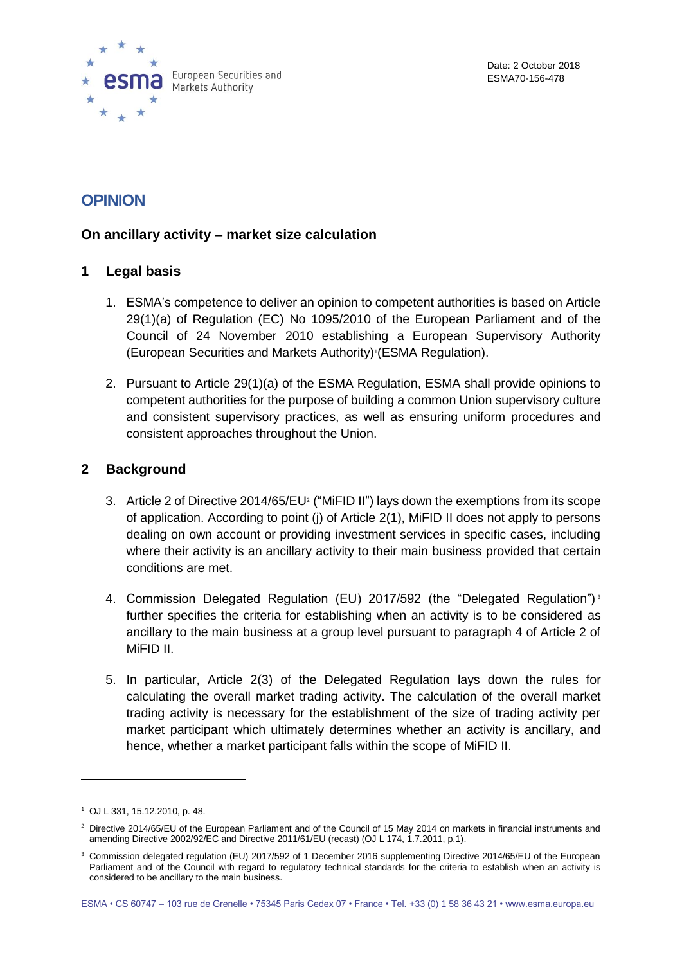

# **OPINION**

# **On ancillary activity – market size calculation**

### **1 Legal basis**

- 1. ESMA's competence to deliver an opinion to competent authorities is based on Article 29(1)(a) of Regulation (EC) No 1095/2010 of the European Parliament and of the Council of 24 November 2010 establishing a European Supervisory Authority (European Securities and Markets Authority)<sup>1</sup> (ESMA Regulation).
- 2. Pursuant to Article 29(1)(a) of the ESMA Regulation, ESMA shall provide opinions to competent authorities for the purpose of building a common Union supervisory culture and consistent supervisory practices, as well as ensuring uniform procedures and consistent approaches throughout the Union.

# **2 Background**

- 3. Article 2 of Directive 2014/65/EU<sup>2</sup> ("MiFID II") lays down the exemptions from its scope of application. According to point (j) of Article 2(1), MiFID II does not apply to persons dealing on own account or providing investment services in specific cases, including where their activity is an ancillary activity to their main business provided that certain conditions are met.
- 4. Commission Delegated Regulation (EU) 2017/592 (the "Delegated Regulation")<sup>3</sup> further specifies the criteria for establishing when an activity is to be considered as ancillary to the main business at a group level pursuant to paragraph 4 of Article 2 of MiFID II.
- 5. In particular, Article 2(3) of the Delegated Regulation lays down the rules for calculating the overall market trading activity. The calculation of the overall market trading activity is necessary for the establishment of the size of trading activity per market participant which ultimately determines whether an activity is ancillary, and hence, whether a market participant falls within the scope of MiFID II.

<sup>1</sup> OJ L 331, 15.12.2010, p. 48.

<sup>&</sup>lt;sup>2</sup> Directive 2014/65/EU of the European Parliament and of the Council of 15 May 2014 on markets in financial instruments and amending Directive 2002/92/EC and Directive 2011/61/EU (recast) (OJ L 174, 1.7.2011, p.1).

<sup>3</sup> Commission delegated regulation (EU) 2017/592 of 1 December 2016 supplementing Directive 2014/65/EU of the European Parliament and of the Council with regard to regulatory technical standards for the criteria to establish when an activity is considered to be ancillary to the main business.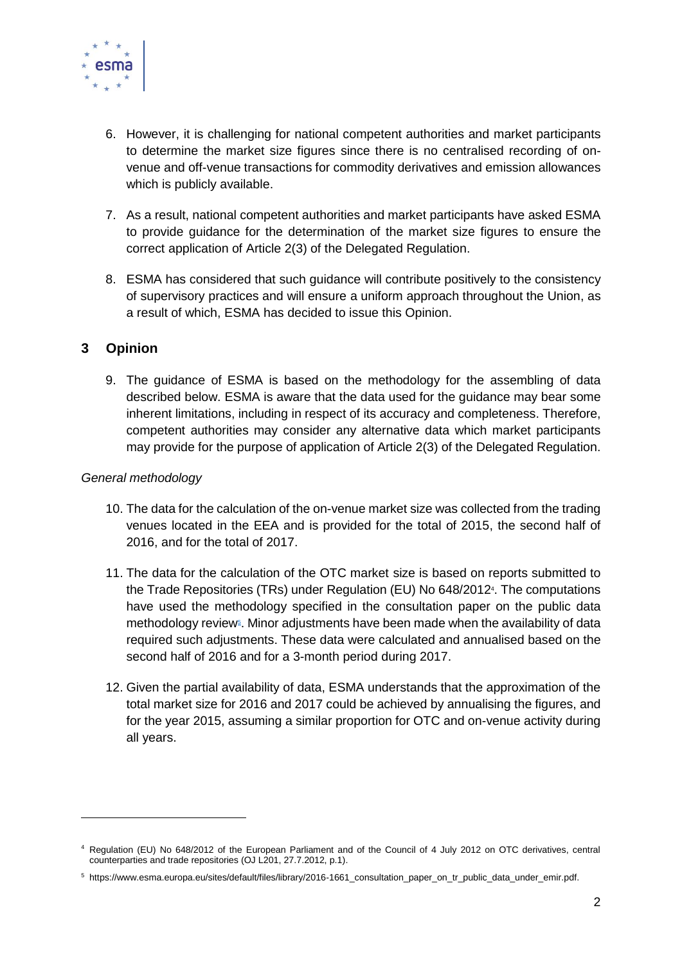

- 6. However, it is challenging for national competent authorities and market participants to determine the market size figures since there is no centralised recording of onvenue and off-venue transactions for commodity derivatives and emission allowances which is publicly available.
- 7. As a result, national competent authorities and market participants have asked ESMA to provide guidance for the determination of the market size figures to ensure the correct application of Article 2(3) of the Delegated Regulation.
- 8. ESMA has considered that such guidance will contribute positively to the consistency of supervisory practices and will ensure a uniform approach throughout the Union, as a result of which, ESMA has decided to issue this Opinion.

# **3 Opinion**

9. The guidance of ESMA is based on the methodology for the assembling of data described below. ESMA is aware that the data used for the guidance may bear some inherent limitations, including in respect of its accuracy and completeness. Therefore, competent authorities may consider any alternative data which market participants may provide for the purpose of application of Article 2(3) of the Delegated Regulation.

#### *General methodology*

 $\overline{a}$ 

- 10. The data for the calculation of the on-venue market size was collected from the trading venues located in the EEA and is provided for the total of 2015, the second half of 2016, and for the total of 2017.
- 11. The data for the calculation of the OTC market size is based on reports submitted to the Trade Repositories (TRs) under Regulation (EU) No 648/2012<sup>4</sup> . The computations have used the methodology specified in the consultation paper on the public data methodology review<sup>®</sup>. Minor adjustments have been made when the availability of data required such adjustments. These data were calculated and annualised based on the second half of 2016 and for a 3-month period during 2017.
- 12. Given the partial availability of data, ESMA understands that the approximation of the total market size for 2016 and 2017 could be achieved by annualising the figures, and for the year 2015, assuming a similar proportion for OTC and on-venue activity during all years.

<sup>4</sup> Regulation (EU) No 648/2012 of the European Parliament and of the Council of 4 July 2012 on OTC derivatives, central counterparties and trade repositories (OJ L201, 27.7.2012, p.1).

<sup>5</sup> https://www.esma.europa.eu/sites/default/files/library/2016-1661\_consultation\_paper\_on\_tr\_public\_data\_under\_emir.pdf.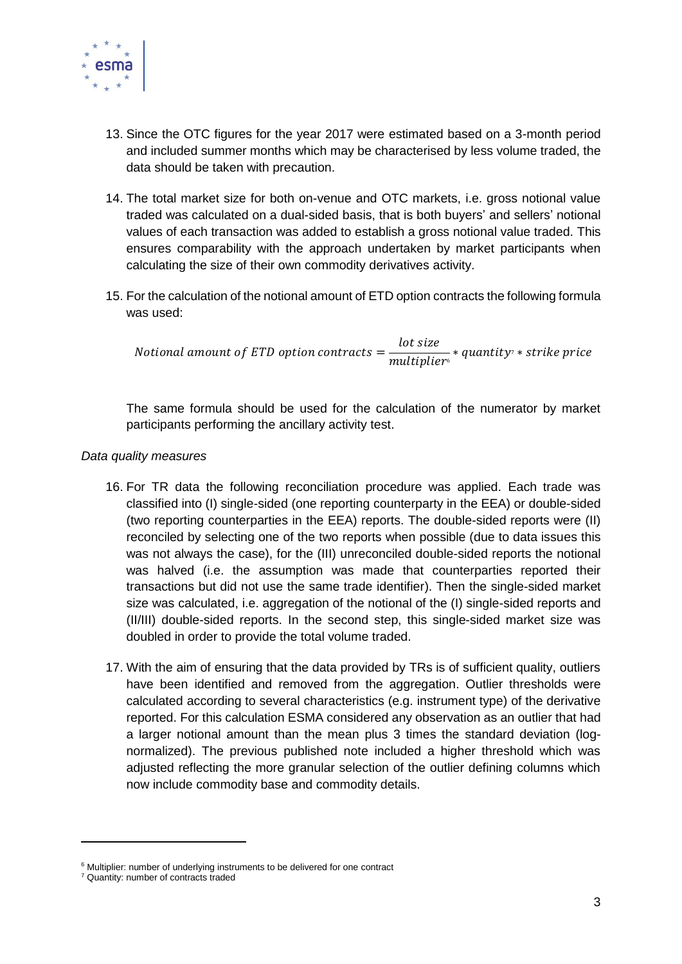

- 13. Since the OTC figures for the year 2017 were estimated based on a 3-month period and included summer months which may be characterised by less volume traded, the data should be taken with precaution.
- 14. The total market size for both on-venue and OTC markets, i.e. gross notional value traded was calculated on a dual-sided basis, that is both buyers' and sellers' notional values of each transaction was added to establish a gross notional value traded. This ensures comparability with the approach undertaken by market participants when calculating the size of their own commodity derivatives activity.
- 15. For the calculation of the notional amount of ETD option contracts the following formula was used:

Notional amount of ETD option contracts  $=$ lot size ────────── \* quantity<sup>7</sup> \* strike price<br>multiplier<sup>6</sup>

The same formula should be used for the calculation of the numerator by market participants performing the ancillary activity test.

#### *Data quality measures*

- 16. For TR data the following reconciliation procedure was applied. Each trade was classified into (I) single-sided (one reporting counterparty in the EEA) or double-sided (two reporting counterparties in the EEA) reports. The double-sided reports were (II) reconciled by selecting one of the two reports when possible (due to data issues this was not always the case), for the (III) unreconciled double-sided reports the notional was halved (i.e. the assumption was made that counterparties reported their transactions but did not use the same trade identifier). Then the single-sided market size was calculated, i.e. aggregation of the notional of the (I) single-sided reports and (II/III) double-sided reports. In the second step, this single-sided market size was doubled in order to provide the total volume traded.
- 17. With the aim of ensuring that the data provided by TRs is of sufficient quality, outliers have been identified and removed from the aggregation. Outlier thresholds were calculated according to several characteristics (e.g. instrument type) of the derivative reported. For this calculation ESMA considered any observation as an outlier that had a larger notional amount than the mean plus 3 times the standard deviation (lognormalized). The previous published note included a higher threshold which was adjusted reflecting the more granular selection of the outlier defining columns which now include commodity base and commodity details.

 $\overline{a}$ 

<sup>&</sup>lt;sup>6</sup> Multiplier: number of underlying instruments to be delivered for one contract

<sup>7</sup> Quantity: number of contracts traded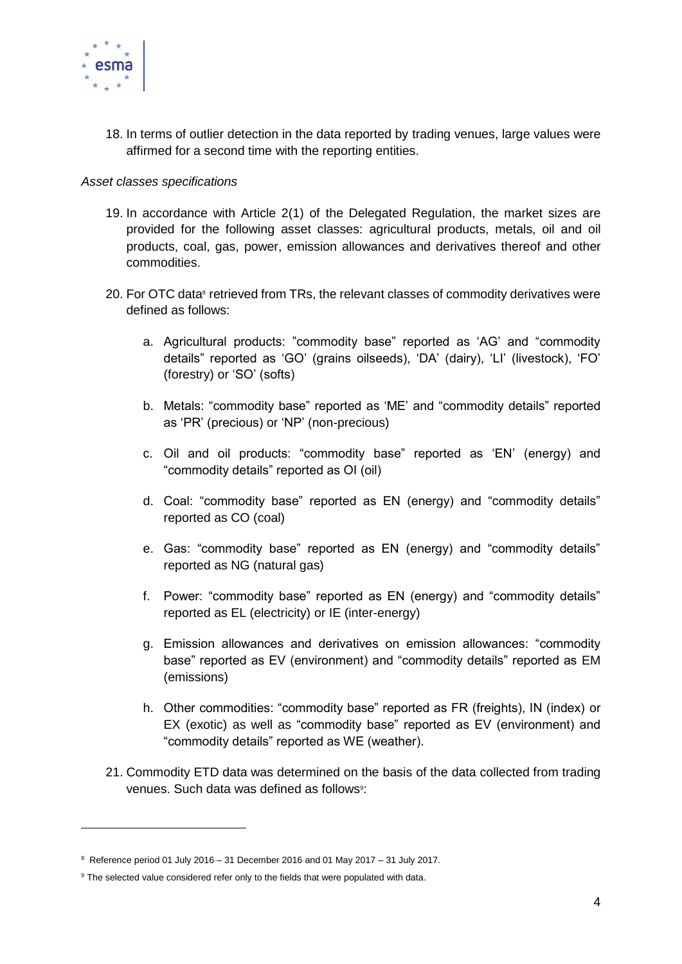

18. In terms of outlier detection in the data reported by trading venues, large values were affirmed for a second time with the reporting entities.

#### *Asset classes specifications*

- 19. In accordance with Article 2(1) of the Delegated Regulation, the market sizes are provided for the following asset classes: agricultural products, metals, oil and oil products, coal, gas, power, emission allowances and derivatives thereof and other commodities.
- 20. For OTC data<sup>®</sup> retrieved from TRs, the relevant classes of commodity derivatives were defined as follows:
	- a. Agricultural products: "commodity base" reported as 'AG' and "commodity details" reported as 'GO' (grains oilseeds), 'DA' (dairy), 'LI' (livestock), 'FO' (forestry) or 'SO' (softs)
	- b. Metals: "commodity base" reported as 'ME' and "commodity details" reported as 'PR' (precious) or 'NP' (non-precious)
	- c. Oil and oil products: "commodity base" reported as 'EN' (energy) and "commodity details" reported as OI (oil)
	- d. Coal: "commodity base" reported as EN (energy) and "commodity details" reported as CO (coal)
	- e. Gas: "commodity base" reported as EN (energy) and "commodity details" reported as NG (natural gas)
	- f. Power: "commodity base" reported as EN (energy) and "commodity details" reported as EL (electricity) or IE (inter-energy)
	- g. Emission allowances and derivatives on emission allowances: "commodity base" reported as EV (environment) and "commodity details" reported as EM (emissions)
	- h. Other commodities: "commodity base" reported as FR (freights), IN (index) or EX (exotic) as well as "commodity base" reported as EV (environment) and "commodity details" reported as WE (weather).
- 21. Commodity ETD data was determined on the basis of the data collected from trading venues. Such data was defined as follows<sup>9</sup>:

 $8$  Reference period 01 July 2016 – 31 December 2016 and 01 May 2017 – 31 July 2017.

<sup>&</sup>lt;sup>9</sup> The selected value considered refer only to the fields that were populated with data.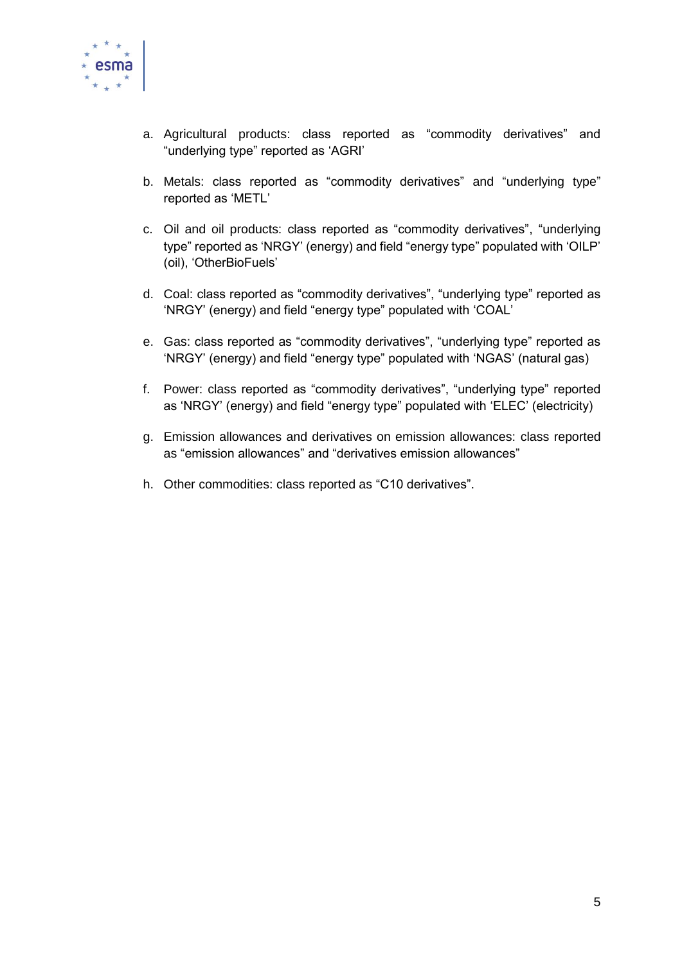

- a. Agricultural products: class reported as "commodity derivatives" and "underlying type" reported as 'AGRI'
- b. Metals: class reported as "commodity derivatives" and "underlying type" reported as 'METL'
- c. Oil and oil products: class reported as "commodity derivatives", "underlying type" reported as 'NRGY' (energy) and field "energy type" populated with 'OILP' (oil), 'OtherBioFuels'
- d. Coal: class reported as "commodity derivatives", "underlying type" reported as 'NRGY' (energy) and field "energy type" populated with 'COAL'
- e. Gas: class reported as "commodity derivatives", "underlying type" reported as 'NRGY' (energy) and field "energy type" populated with 'NGAS' (natural gas)
- f. Power: class reported as "commodity derivatives", "underlying type" reported as 'NRGY' (energy) and field "energy type" populated with 'ELEC' (electricity)
- g. Emission allowances and derivatives on emission allowances: class reported as "emission allowances" and "derivatives emission allowances"
- h. Other commodities: class reported as "C10 derivatives".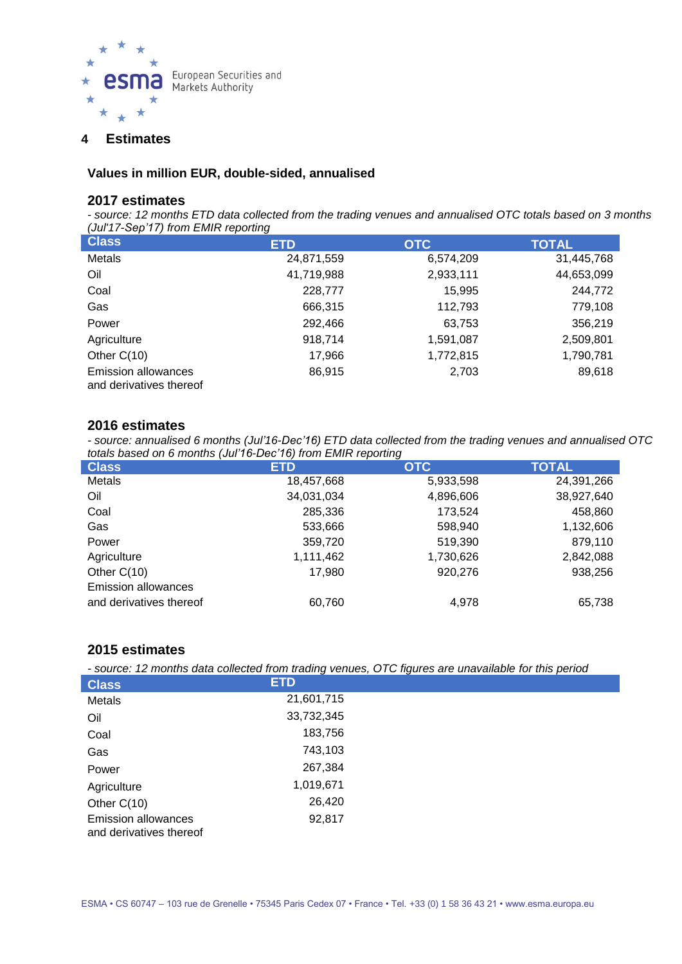

### **4 Estimates**

#### **Values in million EUR, double-sided, annualised**

#### **2017 estimates**

*- source: 12 months ETD data collected from the trading venues and annualised OTC totals based on 3 months (Jul'17-Sep'17) from EMIR reporting*

| <b>Class</b>                                          | <b>ETD</b> | <b>OTC</b> | <b>TOTAL</b> |
|-------------------------------------------------------|------------|------------|--------------|
| Metals                                                | 24,871,559 | 6,574,209  | 31,445,768   |
| Oil                                                   | 41,719,988 | 2,933,111  | 44,653,099   |
| Coal                                                  | 228,777    | 15,995     | 244,772      |
| Gas                                                   | 666,315    | 112,793    | 779,108      |
| Power                                                 | 292,466    | 63,753     | 356,219      |
| Agriculture                                           | 918,714    | 1,591,087  | 2,509,801    |
| Other $C(10)$                                         | 17,966     | 1,772,815  | 1,790,781    |
| <b>Emission allowances</b><br>and derivatives thereof | 86,915     | 2,703      | 89,618       |

#### **2016 estimates**

*- source: annualised 6 months (Jul'16-Dec'16) ETD data collected from the trading venues and annualised OTC totals based on 6 months (Jul'16-Dec'16) from EMIR reporting*

| <b>Class</b>               | <b>ETD</b> | <b>OTC</b> | <b>TOTAL</b> |
|----------------------------|------------|------------|--------------|
| Metals                     | 18,457,668 | 5,933,598  | 24,391,266   |
| Oil                        | 34,031,034 | 4,896,606  | 38,927,640   |
| Coal                       | 285,336    | 173,524    | 458,860      |
| Gas                        | 533,666    | 598,940    | 1,132,606    |
| Power                      | 359,720    | 519,390    | 879,110      |
| Agriculture                | 1,111,462  | 1,730,626  | 2,842,088    |
| Other $C(10)$              | 17,980     | 920.276    | 938,256      |
| <b>Emission allowances</b> |            |            |              |
| and derivatives thereof    | 60,760     | 4,978      | 65,738       |

# **2015 estimates**

*- source: 12 months data collected from trading venues, OTC figures are unavailable for this period*

| <b>Class</b>                                          | <b>ETD</b> |  |
|-------------------------------------------------------|------------|--|
| Metals                                                | 21,601,715 |  |
| Oil                                                   | 33,732,345 |  |
| Coal                                                  | 183,756    |  |
| Gas                                                   | 743,103    |  |
| Power                                                 | 267,384    |  |
| Agriculture                                           | 1,019,671  |  |
| Other $C(10)$                                         | 26,420     |  |
| <b>Emission allowances</b><br>and derivatives thereof | 92,817     |  |